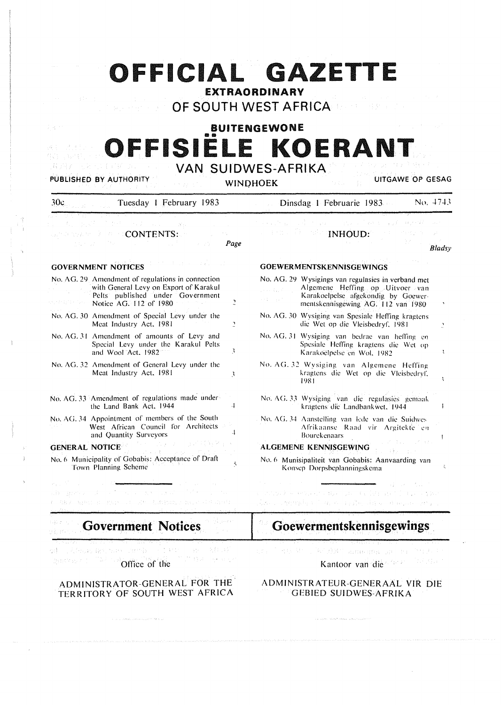# **OFFICIAL GAZETTE**

EXTRAORDINARY

OF SOUTH WEST AFRICA

# **BUITENGEWONE OFFISIELE KOERANT**

第四学 PUBLISHED BY AUTHORITY

**将定** 法通行人

## VAN SUIDWES-AFRIKA

WINDHOEK UITGAWE OP GESAG

| 30c                       | Tuesday 1 February 1983                                                                                                                                        | No. 4743<br>Dinsdag 1 Februarie 1983                                                                                                                                                 |  |  |
|---------------------------|----------------------------------------------------------------------------------------------------------------------------------------------------------------|--------------------------------------------------------------------------------------------------------------------------------------------------------------------------------------|--|--|
|                           | これほう きょたいぶんしゃ<br>and the $\mathbb{R}^n \times \mathbb{C}$ contents:<br>Page                                                                                    | a kacimatan da Kabupatén I<br><b>Example 2018 INHOUD:</b><br>Bladsy                                                                                                                  |  |  |
|                           | <b>GOVERNMENT NOTICES</b>                                                                                                                                      | <b>GOEWERMENTSKENNISGEWINGS</b>                                                                                                                                                      |  |  |
|                           | No. AG. 29 Amendment of regulations in connection<br>with General Levy on Export of Karakul<br>Pelts published under Government<br>2<br>Notice AG. 112 of 1980 | No. AG. 29 Wysigings van regulasies in verband met<br>Algemene Heffing op Uitvoer van<br>Karakoelpelse afgekondig by Goewer-<br>Determined the<br>mentskennisgewing AG. 112 van 1980 |  |  |
|                           | No. AG. 30 Amendment of Special Levy under the<br>Meat Industry Act, 1981<br>$\mathbf{I}$                                                                      | No. AG. 30 Wysiging van Spesiale Heffing kragtens<br>die Wet op die Vleisbedryf, 1981<br>Ĵ.                                                                                          |  |  |
|                           | No. AG. 31 Amendment of amounts of Levy and<br>Special Levy under the Karakul Pelts<br>3<br>and Wool Act, 1982                                                 | No. AG. 31 Wysiging van bedrae van heffing en<br>Spesiale Heffing kragtens die Wet op<br>Karakoelpelse en Wol, 1982<br>÷                                                             |  |  |
|                           | No. AG. 32 Amendment of General Levy under the<br>Meat Industry Act, 1981<br>3                                                                                 | No. AG. 32 Wysiging van Algemene Heffing<br>kragtens die Wet op die Vleisbedryf,<br>1981                                                                                             |  |  |
|                           | No. AG. 33 Amendment of regulations made under<br>the Land Bank Act, 1944<br>$\cdot$                                                                           | No. AG. 33 Wysiging van die regulasies gemaak<br>kragtens die Landbankwet, 1944                                                                                                      |  |  |
|                           | No. AG. 34 Appointment of members of the South<br>West African Council for Architects<br>$\cdot$<br>and Quantity Surveyors                                     | No. AG, 34 Aanstelling van lede van die Suidwes<br>Afrikaanse Raad vir Argitekte en<br><b>Bourekenaars</b>                                                                           |  |  |
|                           | <b>GENERAL NOTICE</b>                                                                                                                                          | ALGEMENE KENNISGEWING                                                                                                                                                                |  |  |
|                           | No. 6 Municipality of Gobabis: Acceptance of Draft<br>$\tilde{\mathbf{S}}$<br>Town Planning Scheme                                                             | No. 6 Munisipaliteit van Gobabis: Aanvaarding van<br>Konsep Dorpsbeplanningskema                                                                                                     |  |  |
|                           | aib anns an Comhair ann an Ceannaich an<br><i>Control agent at again of the Limitan, Family Add Add</i>                                                        | r station kooseverseer oorden van de Frijsland (1900) oorden<br>San chemba i massa pina di anche una c                                                                               |  |  |
| <b>Government Notices</b> |                                                                                                                                                                | Goewermentskennisgewings                                                                                                                                                             |  |  |
| 200702771                 | at climatization and<br>医科目師<br>Office of the                                                                                                                  | ad as advanced W() NC (W) (W) in<br>Kantoor van die 2008                                                                                                                             |  |  |
|                           | $P$ $\mathbf{M}$                                                                                                                                               | CONTRACTOR                                                                                                                                                                           |  |  |

#### **ADMINISTRATOR-GENERAL FOR THE TERRITORY OF SOUTH WEST AFRICA**

 $\label{eq:1} \left\langle \rho_{\alpha\beta\gamma\delta\gamma\delta\gamma} \right\rangle_{\rm{C}} \lesssim 0.95\, \mathrm{g}^2 \rho_{\alpha\beta\gamma\delta\gamma} + \left\langle \rho_{\alpha\beta\gamma\delta\gamma} \right\rangle_{\rm{C}} \lesssim 0.5\, \mathrm{e}^{\frac{1}{2} \left( \rho_{\alpha\beta\delta\gamma} \right)}$ 

ADMINISTRATEUR-GENERAAL VIR DIE GEBIED SUIDWES-AFRIKA

 $\label{eq:1} \langle \hat{\rho}_1 \hat{\rho}_2 \hat{\rho}_1 \hat{\rho}_2 \rangle = \langle \hat{\rho}_1 \hat{\rho}_1 \hat{\rho}_2 \hat{\rho}_2 \hat{\rho}_2 \hat{\rho}_2 \hat{\rho}_2 \hat{\rho}_2 \hat{\rho}_2 \hat{\rho}_2 \hat{\rho}_2 \hat{\rho}_2 \hat{\rho}_2 \hat{\rho}_2 \hat{\rho}_2 \hat{\rho}_2 \hat{\rho}_2 \hat{\rho}_2 \hat{\rho}_2 \hat{\rho}_2 \hat{\rho}_2 \hat{\rho}_2 \hat{\rho}_2 \hat{\rho}_2 \hat{\rho}_2 \hat{\rho}_2 \hat{\rho}_2 \hat{\rho}_2 \hat{\rho}_2 \hat{\rho}_2 \hat$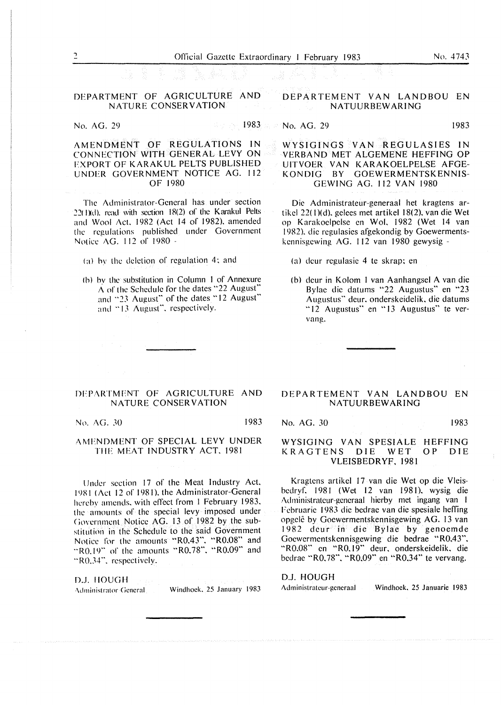#### DEPARTMENT OF AGRICULTURE AND NATURE CONSERVATION

No. AG. 29 1983; 1983; 1983; 1983; 1983; 1983; 1983; 1983; 1983; 1983; 1983; 1983; 1983; 1983; 1983; 1983; 198

No. AG. 29 1983

AMENDMENT OF REGULATIONS IN CONNECTION WITH GENERAL LEVY ON FXPORT OF KARAKUL PELTS PUBLISHED UNDER GOVERNMENT NOTICE AG. 112 OF 1980

The Administrator-General has under section 22( l)(d). read with section 18(2) of the Karakul Pelts and Wool Act. 1982 (Act 14 of 1982). amended the regulations published under Government Notice AG. 112 or 1980 -

(a) hv the deletion of regulation 4; and

(b) hy the substitution in Column I of Annexure A of the Schedule for the dates "22 August" and "23 August" of the dates "12 August" and "13 August", respectively.

#### DEPARTMENT OF AGRICULTURE AND NATURE CONSERVATION

No. AG. 30 1983

#### AMFNDMENT OF SPECIAL LEVY UNDER THE MEAT INDUSTRY ACT. 1981

lJndcr section 17 of the Meat Industry Act. 1981 ( Act 12 of 1981 ). the Administrator-General hereby amends. with effect from I February 1983. the amounts of the special levy imposed under (iovernmcnt Notice AG. 13 of 1982 by the substitution in the Schedule to the said Government Notice for the amounts "R0.43". "RO.OS" and "R0.19" of the amounts "R0.78". "R0.09" and "R0.34", respectively.

D.J. IIOUGH Administrator General Windhoek, 25 January 1983

#### **DEPARTEMENT VAN LANDBOU EN NATUURBEWARING**

#### WYSIGINGS VAN REGULASIES IN VERBAND MET ALGEMENE HEFFING OP UITVOER VAN KARAKOELPELSE AFGE-<br>KONDIG BY GOEWERMENTSKENNIS-BY GOEWERMENTSKENNIS-GEWING AG. 112 VAN 1980

Die Administrateur-generaal het kragtens artikcl 22( I )(d). gelees met artikel I 8(2). van die Wet op Karakoelpelse en Wol. 1982 (Wet 14 van 1982). die regulasies afgekondig by Goewermentskennisgewing AG. 112 van 1980 gewysig -

(a) deur regulasie 4 te skrap; en

(b) deur in Kolom I van Aanhangsel A van die Bylae die datums "22 Augustus" en "23 Augustus" deur. onderskeidelik. die datums "12 Augustus" en "13 Augustus" te vervang.

#### DEPARTEMENT VAN LANDBOU EN NATUURBEWARING

No. AG. 30 1983

#### WYSIGING VAN SPESIALE HEFFING KRAGTENS DIE WET OP DIE VLEISBEDRYF, 1981

Kragtens artikel 17 van die Wet op die Vleisbedryf. 1981 (Wet 12 van 1981), wysig die Administrateur-generaal hierby met ingang van I Fcbruarie 1983 die bedrae van die spesiale heffing opgelê by Goewermentskennisgewing AG. 13 van 1982 deur in die Bylae by genoemde Goewermentskennisgewing die bedrae "R0.43". "RO.08" en "RO.19" deur. onderskeidelik. die bedrae "R0.78". "R0.09" en "R0.34" te vervang.

D.J. HOUGH

Administrateur-generaal Windhoek, 25 Januarie 1983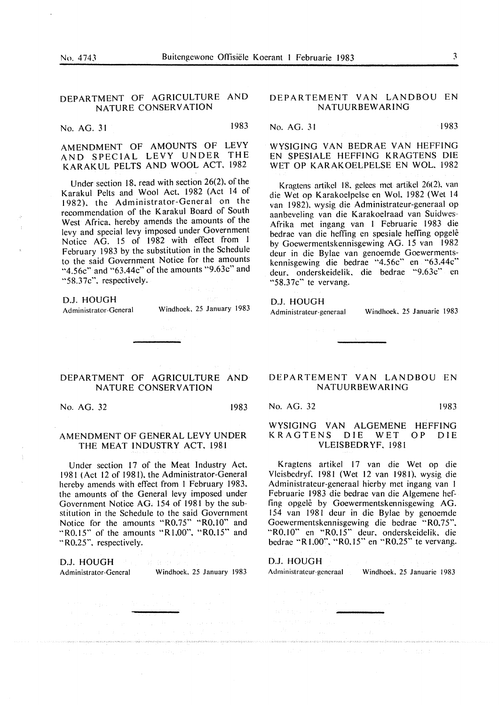#### DEPARTMENT OF AGRICULTURE AND NATURE CONSERVATION

No. AG. 31 1983

AMENDMENT OF AMOUNTS OF LEVY AND SPECIAL LEVY UNDER THE KARAKUL PELTS AND WOOL ACT. 1982

Under section 18. read with section 26(2). of the Karakul Pelts and Wool Act. 1982 (Act 14 of 1982). the Administrator-General on the recommendation of the Karakul Board of South West Africa. hereby amends the amounts of the levy and special levy imposed under Government Notice AG. 15 of 1982 with effect from 1 February 1983 by the substitution in the Schedule to the said Government Notice for the amounts "4.56c" and "63.44c" of the amounts "9.63c" and "58.37c". respectively.

**D.J. HOUGH** 

Administrator-General Windhoek. 25 January 1983

Sunday Report

#### **DEPARTMENT OF AGRICULTURE AND NATURE CONSERVATION**

**No. AG.** 32 1983

#### **AMENDMENT OF GENERAL LEVY UNDER THE MEAT INDUSTRY ACT. 1981**

Under section 17 of the Meat Industry Act. 198 I ( Act 12 of 198 l). the Administrator-General hereby amends with effect from I February 1983. the amounts of the General levy imposed under Government Notice AG. 154 of 1981 by the substitution in the Schedule to the said Government Notice for the amounts "R0.75" "RO.IO" and "R0.15" of the amounts "R1,00". "R0.15" and "R0.25". respectively.

**D.J. HOUGH** 

Administrator-General Windhoek. 25 January 1983

#### DEPARTEMENT VAN LANDBOU EN NATUURBEWARING

No. AG. 31 1983

WYSlGING VAN BEDRAE VAN HEFFING EN SPESIALE HEFFING KRAGTENS DIE WET OP KARAKOELPELSE EN WOL, 1982

Kragtens artikcl 18. gelees met artikel 26(2). van die Wet op Karakoelpelse en Wol. 1982 (Wet 14 van 1982). wysig die Administrateur-generaal op aanbeveling van die Karakoelraad van Suidwes-Afrika met ingang van l Februarie 1983 die bedrae van die heffing en spesiale heffing opgele by Goewermentskennisgewing AG. 15 van 1982 deur in die Bylae van genoemde Goewermentskennisgewing die bedrae "4.56c" en "63.44c" deur. onderskeidelik. die bedrae "9.63c'" en "58.37c" te vervang.

#### **D.J. HOUGH**

Administrateur-generaal Windhoek, 25 Januarie 1983

#### DEPARTEMENT VAN LANDBOU EN NATUURBEWARING

No. AG. 32 1983

#### **WYSIGING VAN ALGEMENE HEFFING KRAGTENS** DIE **WET OP** DIE **VLEISBEDRYF.** 1981

Kragtens artikel 17 van die Wet op die Vleisbedryf, 1981 (Wet 12 van 1981), wysig die Administrateur-generaal hierby met ingang van I Februarie 1983 die bedrae van die Algemene heffing opgelê by Goewermentskennisgewing AG. 154 van 1981 deur in die Bylae by genoemde Goewermentskennisgewing die bedrae "R0,75", "RO.IO'" en "RO.JS" deur. onderskeidelik. die bedrae "R I.00". "R0.15" en "R0.25" te vervang.

#### D.J. HOUGH

Administrateur-generaal Windhoek. 25 Januarie 1983

.<br>In a borrow that in construction of the Although the second of the Construction of Second although the constant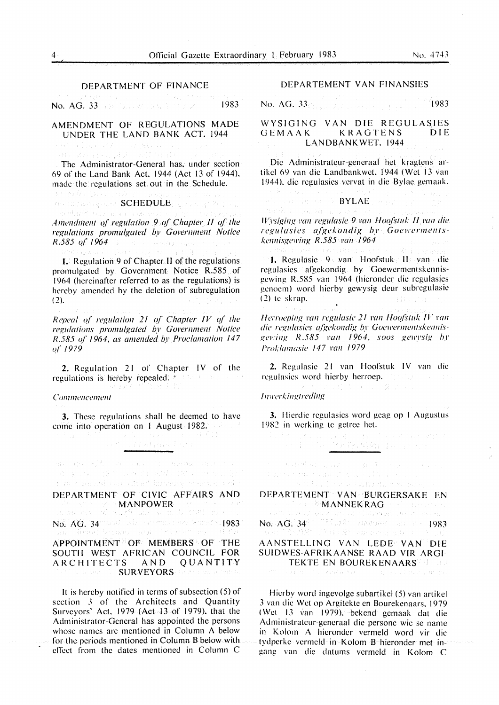No. AG. 33 **1983** 1994 1994 1995 1996 19983

#### AMENDMENT OF REGULATIONS MADE UNDER THE LAND BANK ACT. 1944

计实际设计 不去 .<br>Affineadh ad wears su

The Administrator-General has. under section 69 of the Land Bank Act. 1944 (Act 13 of 1944). made the regulations set out in the Schedule.<br> $\frac{1}{2}$  that  $\frac{1}{2}$  is the schedule of the schedule of the schedule.

ge understagenen SCHEDULE, gedaal gij 2010 en<br>Schilde oor de beschemd in Fabe verboorde

Amendment of regulation 9 of Chapter II of the *regulations promulgated* by *Government Notice R .585 of* 1964

**1.** Regulation 9 of Chapter II of the regulations promulgated by Government Notice R.585 of 1964 (hereinafter referred to as the regulations) is hereby amended by the deletion of subregulation  $(2).$ 

*Repeal of regulation 21 of Chapter IV of the regulations promulgated* by *Government Notice R.585 of 1964, as amended by Proclamation 147 o(* /979

**2.** Regulation 21 of Chapter IV of the regulations is hereby repealed.  $\mathcal{F}$  (32.38) and  $\mathcal{F}$ 

#### *Co111111e11ce111e11t*

**3.** These regulations shall be deemed to have come into operation on I August 1982. TO MANAGEMENT A

on an E<sup>ng</sup> an an It abalan and a degreem (201 mm 11 mM) 180 c represent a morger sel comodinel figurers which may be **DEPARTMENT OF CIVIC AFFAIRS AND** 

 $\mathcal{M}_{\text{max}}$  and  $\mathcal{M}_{\text{max}}$  of  $\mathbf{M}$  and  $\mathbf{M}$  and  $\mathcal{M}_{\text{max}}$  of  $\mathcal{M}_{\text{max}}$  and  $\mathcal{M}_{\text{max}}$  and  $\mathcal{M}_{\text{max}}$  are  $\mathcal{M}_{\text{max}}$  and  $\mathcal{M}_{\text{max}}$  $\overline{\text{No}}$ ,  $\overline{\text{AG}}$ ,  $\overline{\text{34}}$  integral bin constraints for any form  $\overline{\text{383}}$  and  $\overline{\text{383}}$  and  $\overline{\text{383}}$  and  $\overline{\text{383}}$  and  $\overline{\text{383}}$ APPOINTMENT OF MEMBERS OF THE SOUTH WEST AFRICAN COUNCIL FOR ARCHITECTS AND QUANTITY **SURVEYORS** for a series manne

It is hereby notified in terms of subsection (5) of section 3 of the Architects and Quantity Surveyors' Act. 1979 (Act 13 of 1979), that the Administrator-General has appointed the persons whose names arc mentioned in Column A below for the periods mentioned in Column B below with effect from the dates mentioned in Column C

#### DEPARTEMENT VAN FINANSIES

No. AG. 33 **1983** 

WYSIGING VAN DIE REGULASIES<br>GEMAAK KRAGTENS DIE **KRAGTENS** LANDBANKWET. 1944

Die Administratcur-generaal het kragtens artikel 69 van die Landbankwet. 1944 (Wet 13 van 1944). die regulasies vcrvat in die Bylac gemaak.

**BYLAE**  知识, 1000 *IV* rsiging van regulasie 9 van Hoofstuk II van die

 $reculasies$  *afgekondig by Goewermentske1111isge1l'i11g* **R** *.585 !'all I* 964

I. Regulasic 9 van Hoofstuk II van die regulasies afgekondig by Goewermentskennisgewing R.585 van 1964 (hicronder die regulasies gcnocm) word hicrby gewysig deur subregulasie  $(2)$  te skrap. (三)报告了第2

*Herroeping van regulasie 21 van Hoofstuk IV van die regulasies afgekondig by Goewermentskennisge1ri11g* I<. *.585 !'all* 1964. *soos ge1rysig* h\_l' *Proklamasie* 147 *rnn* /979

**2.** Rcgulasic 21 van Hoofstuk **IV** van die regulasies word hierby herroep. The state of *lmverkingtreding* 

**3.** Hicrdic regulasics word geag op I Augustus

1982 in werking te getree het.<br>  $\frac{1}{2}$  is  $\frac{1}{2}$  in the set of the set of the set of the set of the set of the set of the set of the set of the set of the set of the set of the set of the set of the set of the set o

 $\begin{split} \mathcal{F}_{\text{eff}} & = \text{S}(\text{diam}^2_{\text{eff}}(\mathbf{r}_i), \mathbf{q}, \mathbf{z}^T_{i+1}) = \text{g}(\mathbf{r}_i) \nabla_{\text{eff}}(\mathbf{r}_i, \mathbf{z}^T_{i+1}) \cdot \text{g}(\mathbf{r}_i, \mathbf{z}^T_{i+1}) \\ & \mathcal{F}_{\text{eff}}(\mathbf{r}_i, \mathbf{r}_i, \mathbf{r}_i, \mathbf{z}^T_{i+1}) = \mathcal{F}_{\text{eff}}(\mathbf{r}_i, \mathbf{z}^T_{i+1})$ 

| DEPARTEMENT VAN BURGERSAKE EN<br><b><i>SECOND FREMANNEKRAGE COnstruction</i></b>                                   |                                  |  |
|--------------------------------------------------------------------------------------------------------------------|----------------------------------|--|
|                                                                                                                    |                                  |  |
| a setti visse ostavane kada studio od ostava stanovnih stanovnih stanovnih stanovnih stanovnih stanovnih stanovnih |                                  |  |
| No. $AG$ : $34$ <sup>28</sup> $122.32$ composed where $1983$                                                       |                                  |  |
| - A.H. 「西京大阪村山下石城大阪村の新宿の宿泊地方」というようけい                                                                               |                                  |  |
| AANSTELLING VAN LEDE VAN DIE                                                                                       |                                  |  |
|                                                                                                                    |                                  |  |
| SUIDWES-AFRIKAANSE RAAD VIR ARGI-                                                                                  |                                  |  |
|                                                                                                                    | <b>TEKTE EN BOUREKENAARSWERK</b> |  |
| 1. "我们是一个人的事情,我们不是一个人的人,我们就是我们的人,我们也不是一个人的人,我们也不是一个人的人,我们不会是一个人的人。"                                                |                                  |  |

Hicrby word ingcvolge subartikel (5) van artikel 3 van die Wet op Argitekte en Bourekenaars. 1979 (Wet 13 van 1979). bekend gemaak dat die Administratcur-generaal die persone wie se name in Kolom A hieronder vermeld word vir die tydpcrkc vcrmeld in Kolom B hieronder met ingang van die datums vermeld in Kolom C